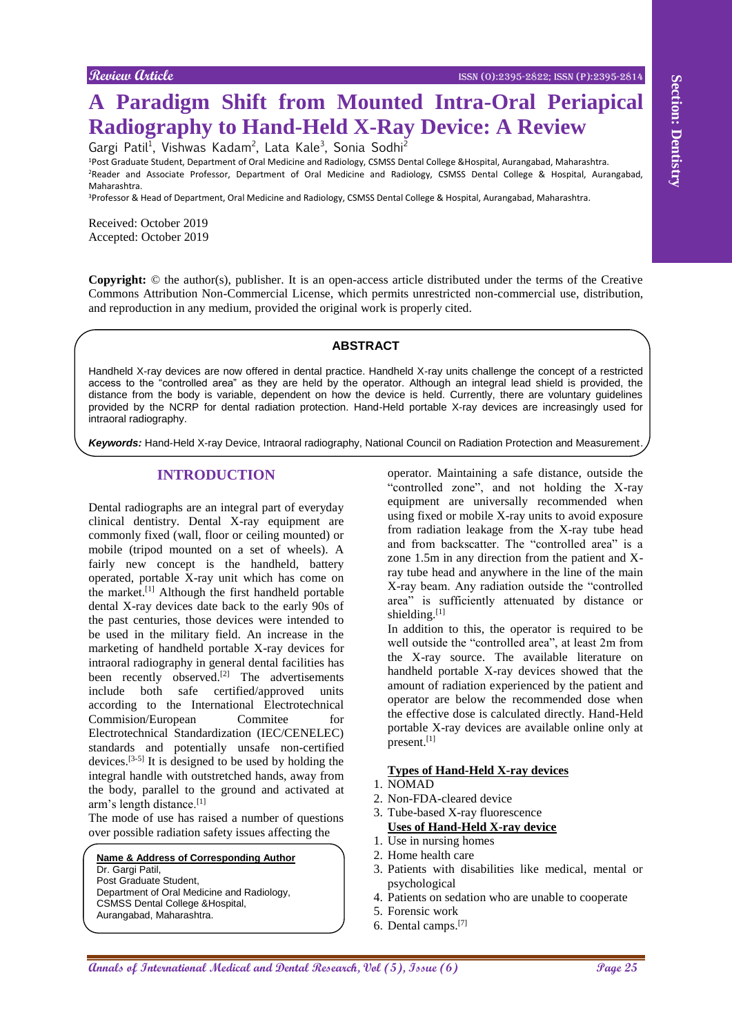# **A Paradigm Shift from Mounted Intra-Oral Periapical Radiography to Hand-Held X-Ray Device: A Review**

Gargi Patil<sup>1</sup>, Vishwas Kadam<sup>2</sup>, Lata Kale<sup>3</sup>, Sonia Sodhi<sup>2</sup>

<sup>1</sup>Post Graduate Student, Department of Oral Medicine and Radiology, CSMSS Dental College &Hospital, Aurangabad, Maharashtra. <sup>2</sup>Reader and Associate Professor, Department of Oral Medicine and Radiology, CSMSS Dental College & Hospital, Aurangabad, Maharashtra.

<sup>3</sup>Professor & Head of Department, Oral Medicine and Radiology, CSMSS Dental College & Hospital, Aurangabad, Maharashtra.

Received: October 2019 Accepted: October 2019

**Copyright:** © the author(s), publisher. It is an open-access article distributed under the terms of the Creative Commons Attribution Non-Commercial License, which permits unrestricted non-commercial use, distribution, and reproduction in any medium, provided the original work is properly cited.

#### **ABSTRACT**

Handheld X-ray devices are now offered in dental practice. Handheld X-ray units challenge the concept of a restricted access to the "controlled area" as they are held by the operator. Although an integral lead shield is provided, the distance from the body is variable, dependent on how the device is held. Currently, there are voluntary guidelines provided by the NCRP for dental radiation protection. Hand-Held portable X-ray devices are increasingly used for intraoral radiography.

*Keywords:* Hand-Held X-ray Device, Intraoral radiography, National Council on Radiation Protection and Measurement.

## **INTRODUCTION**

**An annual metric of The Train Control Control Control Control Control Control Control Control Control Control Control Control Control Control Control Control Control Control Control Control Control Control Control Control** Dental radiographs are an integral part of everyday clinical dentistry. Dental X-ray equipment are commonly fixed (wall, floor or ceiling mounted) or mobile (tripod mounted on a set of wheels). A fairly new concept is the handheld, battery operated, portable X-ray unit which has come on the market.[1] Although the first handheld portable dental X-ray devices date back to the early 90s of the past centuries, those devices were intended to be used in the military field. An increase in the marketing of handheld portable X-ray devices for intraoral radiography in general dental facilities has been recently observed.<sup>[2]</sup> The advertisements include both safe certified/approved units according to the International Electrotechnical Commision/European Commitee for Electrotechnical Standardization (IEC/CENELEC) standards and potentially unsafe non-certified devices.[3-5] It is designed to be used by holding the integral handle with outstretched hands, away from the body, parallel to the ground and activated at arm's length distance.[1]

The mode of use has raised a number of questions over possible radiation safety issues affecting the

#### **Name & Address of Corresponding Author**

Dr. Gargi Patil, Post Graduate Student, Department of Oral Medicine and Radiology, CSMSS Dental College &Hospital, Aurangabad, Maharashtra.

operator. Maintaining a safe distance, outside the "controlled zone", and not holding the X-ray equipment are universally recommended when using fixed or mobile X-ray units to avoid exposure from radiation leakage from the X-ray tube head and from backscatter. The "controlled area" is a zone 1.5m in any direction from the patient and Xray tube head and anywhere in the line of the main X-ray beam. Any radiation outside the "controlled area" is sufficiently attenuated by distance or shielding.<sup>[1]</sup>

In addition to this, the operator is required to be well outside the "controlled area", at least 2m from the X-ray source. The available literature on handheld portable X-ray devices showed that the amount of radiation experienced by the patient and operator are below the recommended dose when the effective dose is calculated directly. Hand-Held portable X-ray devices are available online only at present.[1]

#### **Types of Hand-Held X-ray devices**

- 1. NOMAD
- 2. Non-FDA-cleared device
- 3. Tube-based X-ray fluorescence
- **Uses of Hand-Held X-ray device** 1. Use in nursing homes
- 2. Home health care
- 3. Patients with disabilities like medical, mental or psychological
- 4. Patients on sedation who are unable to cooperate
- 5. Forensic work
- 6. Dental camps. [7]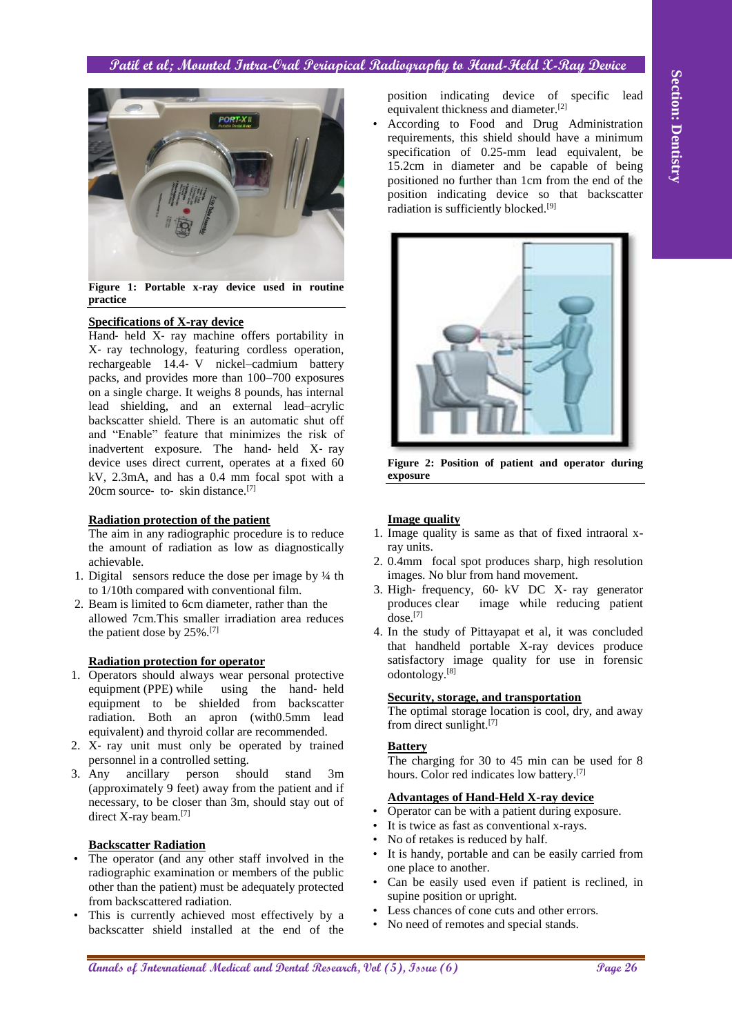# **Patil et al; Mounted Intra-Oral Periapical Radiography to Hand-Held X-Ray Device**



**Figure 1: Portable x-ray device used in routine practice**

## **Specifications of X-ray device**

Hand- held X- ray machine offers portability in X‑ ray technology, featuring cordless operation, rechargeable 14.4‑ V nickel–cadmium battery packs, and provides more than 100–700 exposures on a single charge. It weighs 8 pounds, has internal lead shielding, and an external lead–acrylic backscatter shield. There is an automatic shut off and "Enable" feature that minimizes the risk of inadvertent exposure. The hand‑ held X‑ ray device uses direct current, operates at a fixed 60 kV, 2.3mA, and has a 0.4 mm focal spot with a  $20cm$  source- to-skin distance.<sup>[7]</sup>

## **Radiation protection of the patient**

The aim in any radiographic procedure is to reduce the amount of radiation as low as diagnostically achievable.

- 1. Digital sensors reduce the dose per image by ¼ th to 1/10th compared with conventional film.
- 2. Beam is limited to 6cm diameter, rather than the allowed 7cm.This smaller irradiation area reduces the patient dose by 25%.[7]

## **Radiation protection for operator**

- 1. Operators should always wear personal protective equipment (PPE) while using the hand‑ held equipment to be shielded from backscatter radiation. Both an apron (with0.5mm lead equivalent) and thyroid collar are recommended.
- 2. X‑ ray unit must only be operated by trained personnel in a controlled setting.
- 3. Any ancillary person should stand 3m (approximately 9 feet) away from the patient and if necessary, to be closer than 3m, should stay out of direct X-ray beam.<sup>[7]</sup>

## **Backscatter Radiation**

- The operator (and any other staff involved in the radiographic examination or members of the public other than the patient) must be adequately protected from backscattered radiation.
- This is currently achieved most effectively by a backscatter shield installed at the end of the

position indicating device of specific lead equivalent thickness and diameter.[2]

• According to Food and Drug Administration requirements, this shield should have a minimum specification of 0.25-mm lead equivalent, be 15.2cm in diameter and be capable of being positioned no further than 1cm from the end of the position indicating device so that backscatter radiation is sufficiently blocked.[9]



**Figure 2: Position of patient and operator during exposure**

#### **Image quality**

- 1. Image quality is same as that of fixed intraoral xray units.
- 2. 0.4mm focal spot produces sharp, high resolution images. No blur from hand movement.
- 3. High‑ frequency, 60‑ kV DC X‑ ray generator produces clear image while reducing patient dose.[7]
- 4. In the study of Pittayapat et al, it was concluded that handheld portable X-ray devices produce satisfactory image quality for use in forensic odontology.[8]

# **Security, storage, and transportation**

The optimal storage location is cool, dry, and away from direct sunlight.[7]

### **Battery**

The charging for 30 to 45 min can be used for 8 hours. Color red indicates low battery.[7]

#### **Advantages of Hand-Held X-ray device**

- Operator can be with a patient during exposure.
- It is twice as fast as conventional x-rays.
- No of retakes is reduced by half.
- It is handy, portable and can be easily carried from one place to another.
- Can be easily used even if patient is reclined, in supine position or upright.
- Less chances of cone cuts and other errors.
- No need of remotes and special stands.